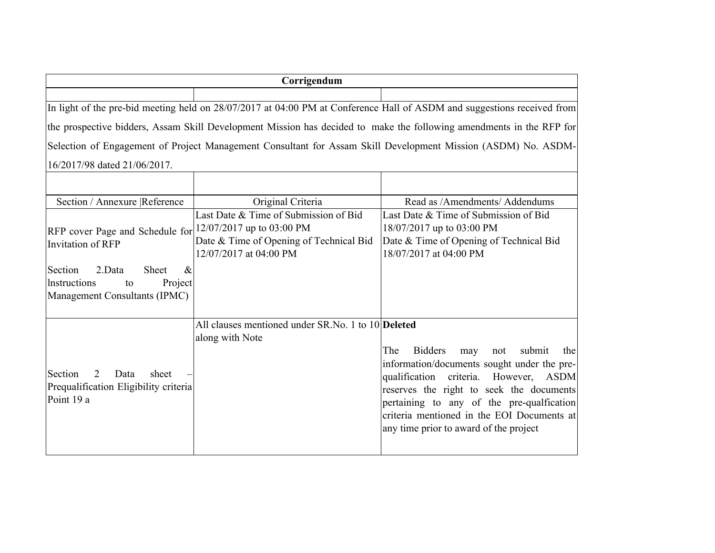| Corrigendum                                                                                                             |                                                                                                            |                                                                                                                                                                                                                                                                                                                               |  |  |  |
|-------------------------------------------------------------------------------------------------------------------------|------------------------------------------------------------------------------------------------------------|-------------------------------------------------------------------------------------------------------------------------------------------------------------------------------------------------------------------------------------------------------------------------------------------------------------------------------|--|--|--|
|                                                                                                                         |                                                                                                            |                                                                                                                                                                                                                                                                                                                               |  |  |  |
| In light of the pre-bid meeting held on 28/07/2017 at 04:00 PM at Conference Hall of ASDM and suggestions received from |                                                                                                            |                                                                                                                                                                                                                                                                                                                               |  |  |  |
| the prospective bidders, Assam Skill Development Mission has decided to make the following amendments in the RFP for    |                                                                                                            |                                                                                                                                                                                                                                                                                                                               |  |  |  |
| Selection of Engagement of Project Management Consultant for Assam Skill Development Mission (ASDM) No. ASDM-           |                                                                                                            |                                                                                                                                                                                                                                                                                                                               |  |  |  |
| 16/2017/98 dated 21/06/2017.                                                                                            |                                                                                                            |                                                                                                                                                                                                                                                                                                                               |  |  |  |
|                                                                                                                         |                                                                                                            |                                                                                                                                                                                                                                                                                                                               |  |  |  |
| Section / Annexure   Reference                                                                                          | Original Criteria                                                                                          | Read as /Amendments/ Addendums                                                                                                                                                                                                                                                                                                |  |  |  |
| RFP cover Page and Schedule for $12/07/2017$ up to 03:00 PM<br><b>Invitation of RFP</b>                                 | Last Date & Time of Submission of Bid<br>Date & Time of Opening of Technical Bid<br>12/07/2017 at 04:00 PM | Last Date & Time of Submission of Bid<br>18/07/2017 up to 03:00 PM<br>Date & Time of Opening of Technical Bid<br>18/07/2017 at 04:00 PM                                                                                                                                                                                       |  |  |  |
| Section<br>2.Data<br>Sheet<br>$\&$<br>Project<br>lnstructions<br>to<br>Management Consultants (IPMC)                    |                                                                                                            |                                                                                                                                                                                                                                                                                                                               |  |  |  |
| Section<br>sheet<br>2<br>Data<br>Prequalification Eligibility criteria<br>Point 19 a                                    | All clauses mentioned under SR.No. 1 to 10 <b>Deleted</b><br>along with Note                               | The<br><b>Bidders</b><br>submit<br>may<br>not<br>the<br>information/documents sought under the pre-<br>qualification criteria. However, ASDM<br>reserves the right to seek the documents<br>pertaining to any of the pre-qualfication<br>criteria mentioned in the EOI Documents at<br>any time prior to award of the project |  |  |  |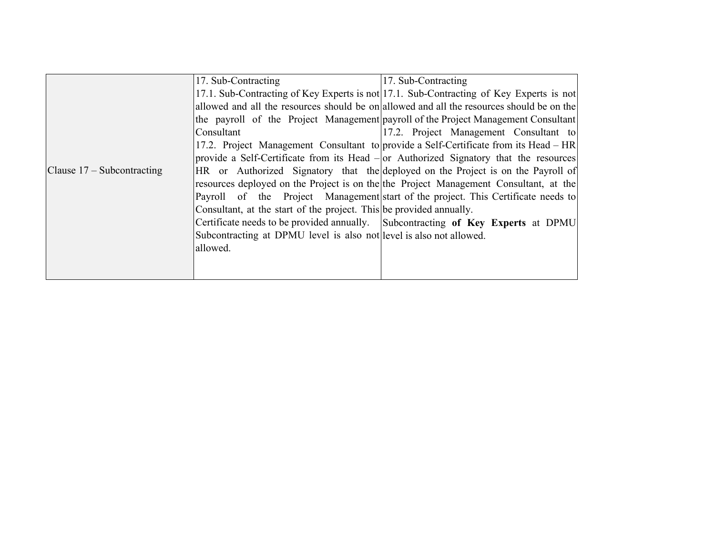|                              | 17. Sub-Contracting                                                 | 17. Sub-Contracting                                                                       |
|------------------------------|---------------------------------------------------------------------|-------------------------------------------------------------------------------------------|
|                              |                                                                     | 17.1. Sub-Contracting of Key Experts is not 17.1. Sub-Contracting of Key Experts is not   |
|                              |                                                                     | allowed and all the resources should be on allowed and all the resources should be on the |
|                              |                                                                     | the payroll of the Project Management payroll of the Project Management Consultant        |
|                              | Consultant                                                          | 17.2. Project Management Consultant to                                                    |
|                              |                                                                     | 17.2. Project Management Consultant to provide a Self-Certificate from its Head – HR      |
|                              |                                                                     | provide a Self-Certificate from its Head - or Authorized Signatory that the resources     |
| Clause $17 -$ Subcontracting |                                                                     | HR or Authorized Signatory that the deployed on the Project is on the Payroll of          |
|                              |                                                                     | resources deployed on the Project is on the the Project Management Consultant, at the     |
|                              |                                                                     | Payroll of the Project Management start of the project. This Certificate needs to         |
|                              | Consultant, at the start of the project. This be provided annually. |                                                                                           |
|                              |                                                                     | Certificate needs to be provided annually. Subcontracting of Key Experts at DPMU          |
|                              | Subcontracting at DPMU level is also not level is also not allowed. |                                                                                           |
|                              | allowed.                                                            |                                                                                           |
|                              |                                                                     |                                                                                           |
|                              |                                                                     |                                                                                           |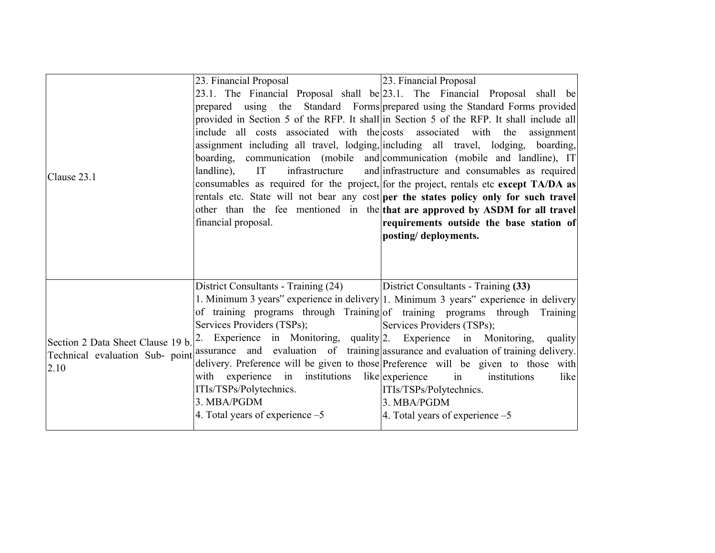|                                   | 23. Financial Proposal                                                      | 23. Financial Proposal                                                                   |
|-----------------------------------|-----------------------------------------------------------------------------|------------------------------------------------------------------------------------------|
|                                   |                                                                             | 23.1. The Financial Proposal shall be 23.1. The Financial Proposal shall be              |
| Clause 23.1                       |                                                                             | prepared using the Standard Forms prepared using the Standard Forms provided             |
|                                   |                                                                             | provided in Section 5 of the RFP. It shall in Section 5 of the RFP. It shall include all |
|                                   | include all costs associated with the costs associated with the             | assignment                                                                               |
|                                   |                                                                             | assignment including all travel, lodging, including all travel, lodging, boarding,       |
|                                   |                                                                             | boarding, communication (mobile and communication (mobile and landline), IT              |
|                                   | IT<br>landline),                                                            | infrastructure and infrastructure and consumables as required                            |
|                                   |                                                                             | consumables as required for the project, for the project, rentals etc except TA/DA as    |
|                                   |                                                                             | rentals etc. State will not bear any cost per the states policy only for such travel     |
|                                   |                                                                             | other than the fee mentioned in the that are approved by ASDM for all travel             |
|                                   | financial proposal.                                                         | requirements outside the base station of                                                 |
|                                   |                                                                             | posting/deployments.                                                                     |
|                                   |                                                                             |                                                                                          |
|                                   |                                                                             |                                                                                          |
|                                   | District Consultants - Training (24)   District Consultants - Training (33) |                                                                                          |
| Section 2 Data Sheet Clause 19 b. |                                                                             | 1. Minimum 3 years" experience in delivery 1. Minimum 3 years" experience in delivery    |
|                                   |                                                                             | of training programs through Training of training programs through Training              |
|                                   | Services Providers (TSPs);                                                  | Services Providers (TSPs);                                                               |
|                                   | 2. Experience in Monitoring, quality 2. Experience in Monitoring,           | quality                                                                                  |
| Technical evaluation Sub- point   |                                                                             | assurance and evaluation of training assurance and evaluation of training delivery.      |
| 2.10                              |                                                                             | delivery. Preference will be given to those Preference will be given to those with       |
|                                   | with experience in institutions like experience                             | in<br>institutions<br>like                                                               |
|                                   | ITIs/TSPs/Polytechnics.                                                     | ITIs/TSPs/Polytechnics.                                                                  |
|                                   | 3. MBA/PGDM                                                                 | 3. MBA/PGDM                                                                              |
|                                   | 4. Total years of experience $-5$                                           | 4. Total years of experience $-5$                                                        |
|                                   |                                                                             |                                                                                          |